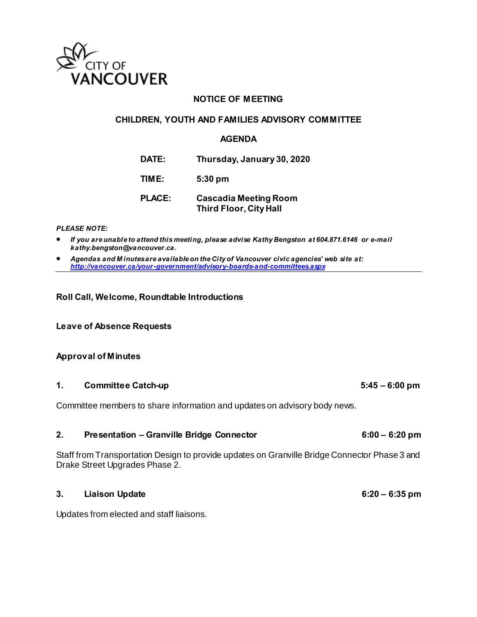

## **NOTICE OF MEETING**

#### **CHILDREN, YOUTH AND FAMILIES ADVISORY COMMITTEE**

#### **AGENDA**

**DATE: Thursday, January 30, 2020**

**TIME: 5:30 pm**

**PLACE: Cascadia Meeting Room Third Floor, City Hall** 

#### *PLEASE NOTE:*

- *If you are unable to attend this meeting, please advise Kathy Bengston at 604.871.6146 or e-mail kathy.bengston@vancouver.ca.*
- *Agendas and M inutes are available on the City of Vancouver civic agencies' web site at: <http://vancouver.ca/your-government/advisory-boards-and-committees.aspx>*

#### **Roll Call, Welcome, Roundtable Introductions**

**Leave of Absence Requests** 

#### **Approval of Minutes**

#### **1. Committee Catch-up 5:45 – 6:00 pm**

Committee members to share information and updates on advisory body news.

## **2. Presentation – Granville Bridge Connector 6:00 – 6:20 pm**

Staff from Transportation Design to provide updates on Granville Bridge Connector Phase 3 and Drake Street Upgrades Phase 2.

## **3. Liaison Update 6:20 – 6:35 pm**

Updates from elected and staff liaisons.